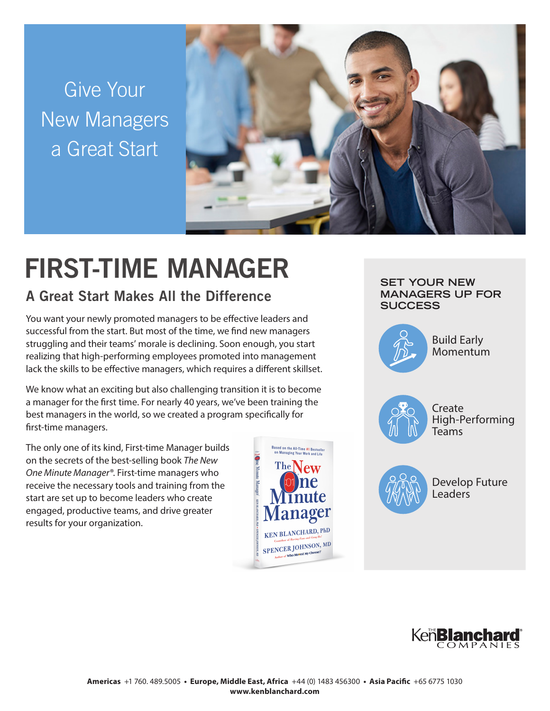Give Your New Managers a Great Start



# FIRST-TIME MANAGER

## A Great Start Makes All the Difference

You want your newly promoted managers to be effective leaders and successful from the start. But most of the time, we find new managers struggling and their teams' morale is declining. Soon enough, you start realizing that high-performing employees promoted into management lack the skills to be effective managers, which requires a different skillset.

We know what an exciting but also challenging transition it is to become a manager for the first time. For nearly 40 years, we've been training the best managers in the world, so we created a program specifically for first-time managers.

The only one of its kind, First-time Manager builds on the secrets of the best-selling book *The New One Minute Manager®*. First-time managers who receive the necessary tools and training from the start are set up to become leaders who create engaged, productive teams, and drive greater results for your organization.